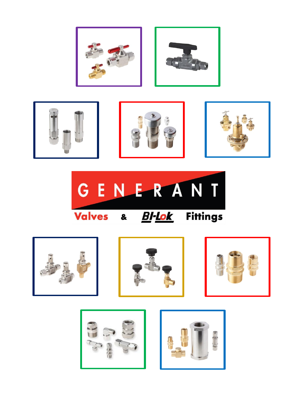













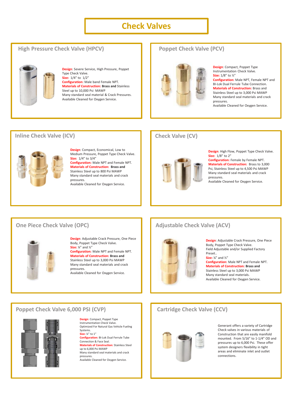# **Check Valves**

## **High Pressure Check Valve (HPCV)**



**Design**: Severe Service, High Pressure, Poppet Type Check Valve. **Size:** 1/4" to 1/2" **Configuration:** Male band Female NPT. **Materials of Construction: Brass and** Stainless Steel up to 10,000 Psi MAWP Many standard seal material & Crack Pressures. Available Cleaned for Oxygen Service.

## **Poppet Check Valve (PCV)**



**Design**: Compact, Poppet Type Instrumentation Check Valve. **Size:** 1/8" to ½" **Configuration:** Male NPT, Female NPT and BI-Lok Dual Ferrule Tube Connection. **Materials of Construction:** Brass and Stainless Steel up to 3,000 Psi MAWP Many standard seal materials and crack pressures.

Available Cleaned for Oxygen Service.

### **Inline Check Valve (ICV)**



**Design**: Compact, Economical, Low to Medium Pressure, Poppet Type Check Valve. **Size:** 1/4" to 3/4" **Configuration:** Male NPT and Female NPT.

**Materials of Construction: Brass and**  Stainless Steel up to 800 Psi MAWP Many standard seal materials and crack pressures. Available Cleaned for Oxygen Service.

# **Check Valve (CV)**



**Design**: High Flow, Poppet Type Check Valve. **Size:** 1/8" to 2" **Configuration:** Female by Female NPT. **Materials of Construction:** Brass to 3,000 Psi, Stainless Steel up to 4,500 Psi MAWP

Many standard seal materials and crack pressures. Available Cleaned for Oxygen Service.

## **One Piece Check Valve (OPC)**



**Design**: Adjustable Crack Pressure, One Piece Body, Poppet Type Check Valve. **Size:** ¼" and ½"

**Configuration:** Male NPT and Female NPT. **Materials of Construction: Brass and**  Stainless Steel up to 3,000 Psi MAWP Many standard seal materials and crack pressures. Available Cleaned for Oxygen Service.

# **Adjustable Check Valve (ACV)**



**Design**: Adjustable Crack Pressure, One Piece Body, Poppet Type Check Valve. Field Adjustable and/or Supplied Factory Preset..

**Size:** ¼" and ½" **Configuration:** Male NPT and Female NPT. **Materials of Construction: Brass and**  Stainless Steel up to 3,000 Psi MAWP Many standard seal materials. Available Cleaned for Oxygen Service.

### **Poppet Check Valve 6,000 PSI (CVP)**



**Design**: Compact, Poppet Type Instrumentation Check Valve. Optimized For Natural Gas Vehicle Fueling Systems. **Size:** ¼" to 1" **Configuration:** BI-Lok Dual Ferrule Tube Connection & Face Seal. **Materials of Construction:** Stainless Steel up to 6,000 Psi MAWP Many standard seal materials and crack pressures. Available Cleaned for Oxygen Service.

# **Cartridge Check Valve (CCV)**



Generant offers a variety of Cartridge Check valves in various materials of Construction that are easily manifold mounted. From 5/16" to 1-1/4" OD and pressures up to 6,000 Psi. These offer system designers flexibility in tight areas and eliminate inlet and outlet connections.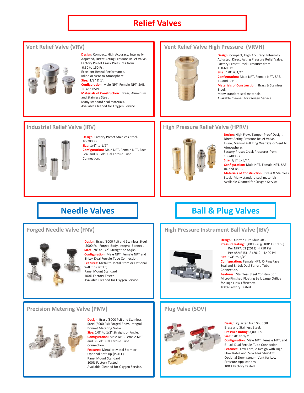# **Relief Valves**



**Design**: Compact, High Accuracy, Internally Adjusted, Direct Acting Pressure Relief Valve. Factory Preset Crack Pressures from 0.50 to 150 Psi. Excellent Reseal Performance. Inline or Vent to Atmosphere. **Size:** 1/8" & 1". **Configuration:** Male NPT, Female NPT, SAE, JIC and BSPT. **Materials of Construction:** Brass, Aluminum and Stainless Steel. Many standard seal materials.

Available Cleaned for Oxygen Service.

#### **Industrial Relief Valve (IRV)**



**Design**: Factory Preset Stainless Steel. 10-700 Psi. **Size:** 1/4" to 1/2" **Configuration:** Male NPT, Female NPT, Face Seal and BI-Lok Dual Ferrule Tube Connection.

.

### **Forged Needle Valve (FNV)**



**Design**: Brass (3000 Psi) and Stainless Steel (5000 Psi) Forged Body, Integral Bonnet . **Size:** 1/8" to 1/2" Straight or Angle. **Configuration:** Male NPT, Female NPT and BI-Lok Dual Ferrule Tube Connection. **Features:** Metal to Metal Stem or Optional Soft Tip (PCTFE) Panel Mount Standard 100% Factory Tested Available Cleaned for Oxygen Service.

### **Vent Relief Valve (VRV)** The Vent Relief Valve High Pressure (VRVH)



**Design**: Compact, High Accuracy, Internally Adjusted, Direct Acting Pressure Relief Valve. Factory Preset Crack Pressures from 150-600 Psi.

**Size:** 1/8" & 1/4". **Configuration:** Male NPT, Female NPT, SAE, JIC and BSPT. **Materials of Construction:** Brass & Stainless Steel.

Many standard seal materials. Available Cleaned for Oxygen Service.

## **High Pressure Relief Valve (HPRV)**



**Design**: High Flow, Tamper Proof Design, Direct Acting Pressure Relief Valve. Inline, Manual Pull Ring Override or Vent to Atmosphere. Factory Preset Crack Pressures from 10-2400 Psi. **Size:** 1/8" to 3/4". **Configuration:** Male NPT, Female NPT, SAE, JIC and BSPT. **Materials of Construction:** Brass & Stainless

Steel. Many standard seal materials. Available Cleaned for Oxygen Service.

# **Needle Valves Ball & Plug Valves**

## **High Pressure Instrument Ball Valve (IBV)**

#### **Design**: Quarter Turn Shut Off . **Pressure Rating:** 6,000 Psi @ 100° F (3:1 SF)

Per NFPA 52 (2013) 4,750 Psi Per ASME B31.3 (2012) 4,400 Psi **Size:** 1/4" to 3/4"

**Configuration:** Female NPT, O-Ring Face Seal and BI-Lok Dual Ferrule Tube Connection.

**Features:** Stainless Steel Construction. Micro-Finished Floating Ball, Large Orifice for High Flow Efficiency. 100% Factory Tested.

**Design**: Quarter Turn Shut Off .

## **Precision Metering Valve (PMV)**



**Design**: Brass (3000 Psi) and Stainless Steel (5000 Psi) Forged Body, Integral Bonnet Metering Valve. **Size:** 1/8" to 1/2" Straight or Angle. **Configuration:** Male NPT, Female NPT and BI-Lok Dual Ferrule Tube Connection. **Features:** Metal to Metal Stem or Optional Soft Tip (PCTFE) Panel Mount Standard 100% Factory Tested Available Cleaned for Oxygen Service.

# **Plug Valve (SOV)**



Brass and Stainless Steel. **Pressure Rating:** 3,000 Psi **Size:** 1/8" to 1/2" **Configuration:** Male NPT, Female NPT, and BI-Lok Dual Ferrule Tube Connection. **Features:** Low Torque Design with High Flow Rates and Zero Leak Shut-Off. Optional Downstream Vent for Low Pressure Applications. 100% Factory Tested.